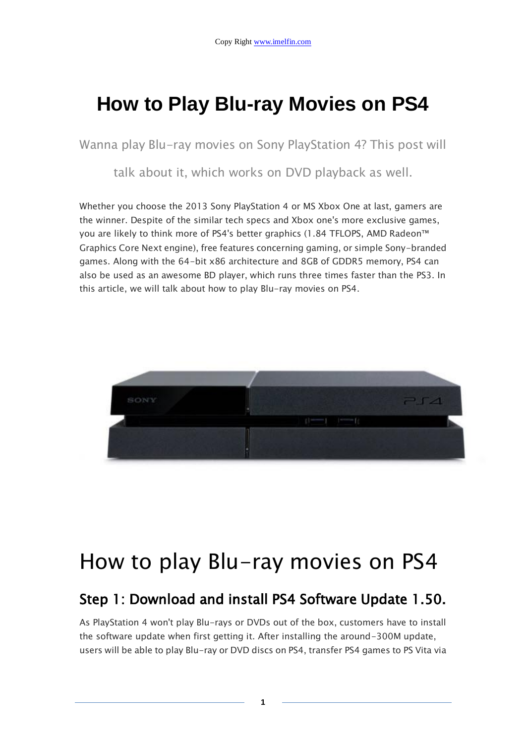## **How to Play Blu-ray Movies on PS4**

Wanna play Blu-ray movies on Sony PlayStation 4? This post will

talk about it, which works on DVD playback as well.

Whether you choose the 2013 Sony PlayStation 4 or MS Xbox One at last, gamers are the winner. Despite of the similar tech specs and Xbox one's more exclusive games, you are likely to think more of PS4's better graphics (1.84 TFLOPS, AMD Radeon™ Graphics Core Next engine), free features concerning gaming, or simple Sony-branded games. Along with the 64-bit x86 architecture and 8GB of GDDR5 memory, PS4 can also be used as an awesome BD player, which runs three times faster than the PS3. In this article, we will talk about how to play Blu-ray movies on PS4.



# How to play Blu-ray movies on PS4

#### Step 1: Download and install PS4 Software Update 1.50.

As PlayStation 4 won't play Blu-rays or DVDs out of the box, customers have to install the software update when first getting it. After installing the around-300M update, users will be able to play Blu-ray or DVD discs on PS4, transfer PS4 games to PS Vita via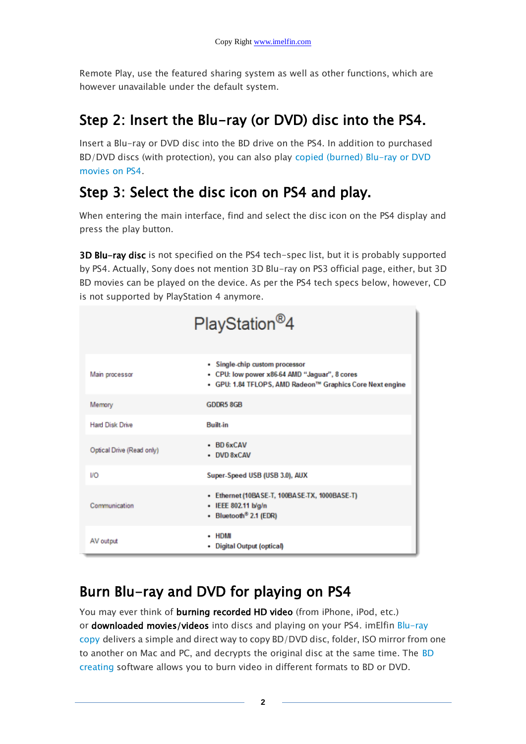Remote Play, use the featured sharing system as well as other functions, which are however unavailable under the default system.

### Step 2: Insert the Blu-ray (or DVD) disc into the PS4.

Insert a Blu-ray or DVD disc into the BD drive on the PS4. In addition to purchased BD/DVD discs (with protection), you can also play [copied \(burned\) Blu-ray or DVD](http://www.imelfin.com/Play-Blu-ray-Movies-on-PS4.html#burn)  [movies on PS4.](http://www.imelfin.com/Play-Blu-ray-Movies-on-PS4.html#burn)

### Step 3: Select the disc icon on PS4 and play.

When entering the main interface, find and select the disc icon on the PS4 display and press the play button.

**3D Blu-ray disc** is not specified on the PS4 tech-spec list, but it is probably supported by PS4. Actually, Sony does not mention 3D Blu-ray on PS3 official page, either, but 3D BD movies can be played on the device. As per the PS4 tech specs below, however, CD is not supported by PlayStation 4 anymore.

|                           | PlayStation <sup>®</sup> 4                                                                                                                   |
|---------------------------|----------------------------------------------------------------------------------------------------------------------------------------------|
| Main processor            | • Single-chip custom processor<br>• CPU: low power x86-64 AMD "Jaguar", 8 cores<br>· GPU: 1.84 TFLOPS, AMD Radeon™ Graphics Core Next engine |
| Memory                    | <b>GDDR5 8GB</b>                                                                                                                             |
| <b>Hard Disk Drive</b>    | <b>Built-in</b>                                                                                                                              |
| Optical Drive (Read only) | $\cdot$ BD 6xCAV<br>• DVD 8xCAV                                                                                                              |
| <b>VO</b>                 | Super-Speed USB (USB 3.0), AUX                                                                                                               |
| Communication             | • Ethernet (10BASE-T, 100BASE-TX, 1000BASE-T)<br>• IEEE 802.11 b/g/n<br>• Bluetooth <sup>®</sup> 2.1 (EDR)                                   |
| AV output                 | - HDMI<br>• Digital Output (optical)                                                                                                         |

### Burn Blu-ray and DVD for playing on PS4

You may ever think of **burning recorded HD video** (from iPhone, iPod, etc.) or **downloaded movies/videos** into discs and playing on your PS4. imElfin Blu-ray [copy](http://www.imelfin.com/mac-blu-ray-copy.html) delivers a simple and direct way to copy BD/DVD disc, folder, ISO mirror from one to another on Mac and PC, and decrypts the original disc at the same time. The [BD](http://www.imelfin.com/mac-blu-ray-creator.html)  [creating](http://www.imelfin.com/mac-blu-ray-creator.html) software allows you to burn video in different formats to BD or DVD.